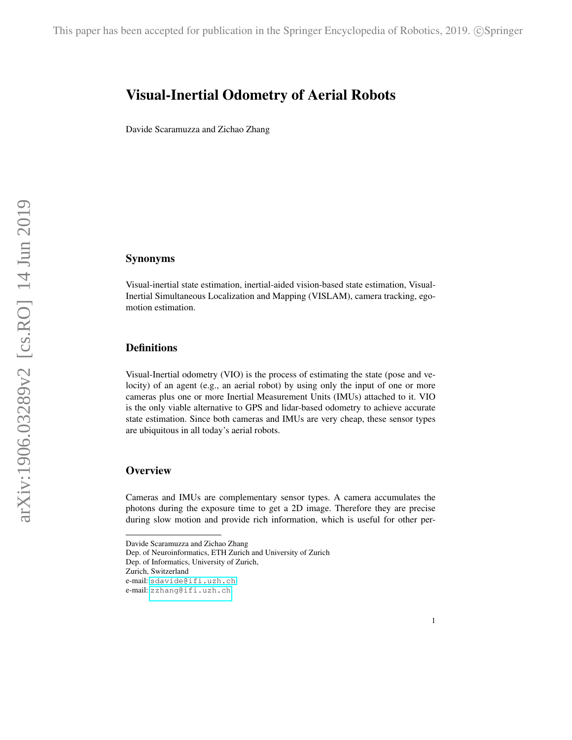# Visual-Inertial Odometry of Aerial Robots

Davide Scaramuzza and Zichao Zhang

# Synonyms

Visual-inertial state estimation, inertial-aided vision-based state estimation, Visual-Inertial Simultaneous Localization and Mapping (VISLAM), camera tracking, egomotion estimation.

## **Definitions**

Visual-Inertial odometry (VIO) is the process of estimating the state (pose and velocity) of an agent (e.g., an aerial robot) by using only the input of one or more cameras plus one or more Inertial Measurement Units (IMUs) attached to it. VIO is the only viable alternative to GPS and lidar-based odometry to achieve accurate state estimation. Since both cameras and IMUs are very cheap, these sensor types are ubiquitous in all today's aerial robots.

## **Overview**

Cameras and IMUs are complementary sensor types. A camera accumulates the photons during the exposure time to get a 2D image. Therefore they are precise during slow motion and provide rich information, which is useful for other per-

Davide Scaramuzza and Zichao Zhang

Dep. of Neuroinformatics, ETH Zurich and University of Zurich

Dep. of Informatics, University of Zurich,

Zurich, Switzerland

e-mail: <sdavide@ifi.uzh.ch>

e-mail: <zzhang@ifi.uzh.ch>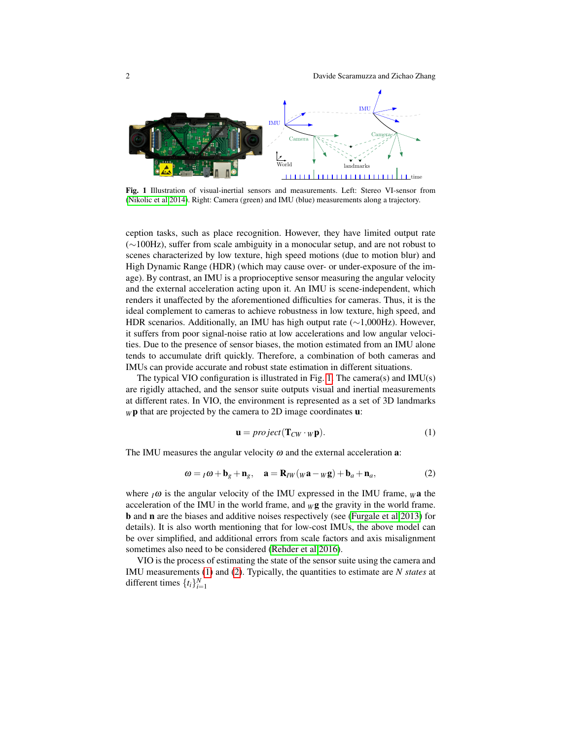2 Davide Scaramuzza and Zichao Zhang



<span id="page-1-0"></span>Fig. 1 Illustration of visual-inertial sensors and measurements. Left: Stereo VI-sensor from [\(Nikolic et al 2014\)](#page-11-0). Right: Camera (green) and IMU (blue) measurements along a trajectory.

ception tasks, such as place recognition. However, they have limited output rate (∼100Hz), suffer from scale ambiguity in a monocular setup, and are not robust to scenes characterized by low texture, high speed motions (due to motion blur) and High Dynamic Range (HDR) (which may cause over- or under-exposure of the image). By contrast, an IMU is a proprioceptive sensor measuring the angular velocity and the external acceleration acting upon it. An IMU is scene-independent, which renders it unaffected by the aforementioned difficulties for cameras. Thus, it is the ideal complement to cameras to achieve robustness in low texture, high speed, and HDR scenarios. Additionally, an IMU has high output rate (∼1,000Hz). However, it suffers from poor signal-noise ratio at low accelerations and low angular velocities. Due to the presence of sensor biases, the motion estimated from an IMU alone tends to accumulate drift quickly. Therefore, a combination of both cameras and IMUs can provide accurate and robust state estimation in different situations.

The typical VIO configuration is illustrated in Fig. [1.](#page-1-0) The camera(s) and IMU(s) are rigidly attached, and the sensor suite outputs visual and inertial measurements at different rates. In VIO, the environment is represented as a set of 3D landmarks  $wp$  that are projected by the camera to 2D image coordinates **:** 

<span id="page-1-1"></span>
$$
\mathbf{u} = project(\mathbf{T}_{CW} \cdot w\mathbf{p}).\tag{1}
$$

The IMU measures the angular velocity  $\omega$  and the external acceleration **a**:

<span id="page-1-2"></span>
$$
\omega = {}_{I}\omega + \mathbf{b}_g + \mathbf{n}_g, \quad \mathbf{a} = \mathbf{R}_{IW}(w\mathbf{a} - w\mathbf{g}) + \mathbf{b}_a + \mathbf{n}_a,\tag{2}
$$

where  $I\omega$  is the angular velocity of the IMU expressed in the IMU frame,  $W$  a the acceleration of the IMU in the world frame, and  $_W$ **g** the gravity in the world frame. b and n are the biases and additive noises respectively (see [\(Furgale et al 2013\)](#page-9-0) for details). It is also worth mentioning that for low-cost IMUs, the above model can be over simplified, and additional errors from scale factors and axis misalignment sometimes also need to be considered [\(Rehder et al 2016\)](#page-11-1).

VIO is the process of estimating the state of the sensor suite using the camera and IMU measurements [\(1\)](#page-1-1) and [\(2\)](#page-1-2). Typically, the quantities to estimate are *N states* at different times  $\{t_i\}_{i=1}^N$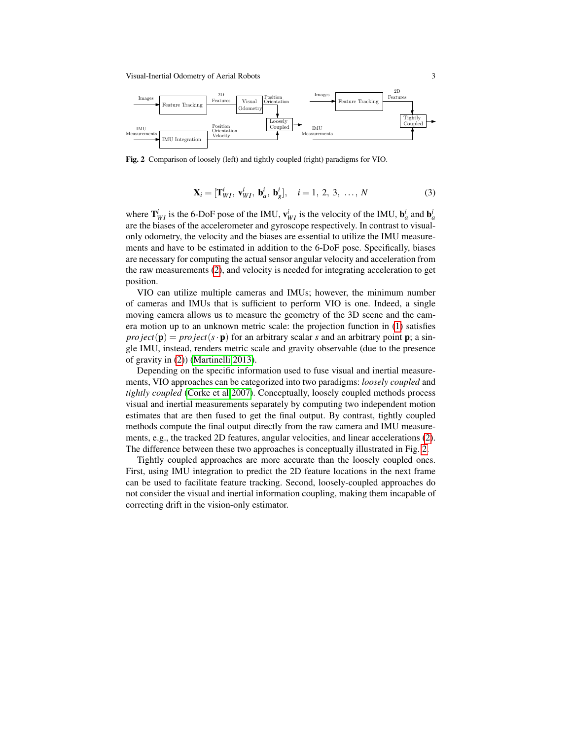

<span id="page-2-0"></span>Fig. 2 Comparison of loosely (left) and tightly coupled (right) paradigms for VIO.

$$
\mathbf{X}_i = [\mathbf{T}_{WI}^i, \mathbf{v}_{WI}^i, \mathbf{b}_a^i, \mathbf{b}_g^i], \quad i = 1, 2, 3, ..., N
$$
 (3)

where  $\mathbf{T}_{WI}^i$  is the 6-DoF pose of the IMU,  $\mathbf{v}_{WI}^i$  is the velocity of the IMU,  $\mathbf{b}_a^i$  and  $\mathbf{b}_a^i$ are the biases of the accelerometer and gyroscope respectively. In contrast to visualonly odometry, the velocity and the biases are essential to utilize the IMU measurements and have to be estimated in addition to the 6-DoF pose. Specifically, biases are necessary for computing the actual sensor angular velocity and acceleration from the raw measurements [\(2\)](#page-1-2), and velocity is needed for integrating acceleration to get position.

VIO can utilize multiple cameras and IMUs; however, the minimum number of cameras and IMUs that is sufficient to perform VIO is one. Indeed, a single moving camera allows us to measure the geometry of the 3D scene and the camera motion up to an unknown metric scale: the projection function in [\(1\)](#page-1-1) satisfies *pro ject*( $\mathbf{p}$ ) = *pro ject*( $s \cdot \mathbf{p}$ ) for an arbitrary scalar *s* and an arbitrary point **p**; a single IMU, instead, renders metric scale and gravity observable (due to the presence of gravity in [\(2\)](#page-1-2)) [\(Martinelli 2013\)](#page-10-0).

Depending on the specific information used to fuse visual and inertial measurements, VIO approaches can be categorized into two paradigms: *loosely coupled* and *tightly coupled* [\(Corke et al 2007\)](#page-9-1). Conceptually, loosely coupled methods process visual and inertial measurements separately by computing two independent motion estimates that are then fused to get the final output. By contrast, tightly coupled methods compute the final output directly from the raw camera and IMU measurements, e.g., the tracked 2D features, angular velocities, and linear accelerations [\(2\)](#page-1-2). The difference between these two approaches is conceptually illustrated in Fig. [2.](#page-2-0)

Tightly coupled approaches are more accurate than the loosely coupled ones. First, using IMU integration to predict the 2D feature locations in the next frame can be used to facilitate feature tracking. Second, loosely-coupled approaches do not consider the visual and inertial information coupling, making them incapable of correcting drift in the vision-only estimator.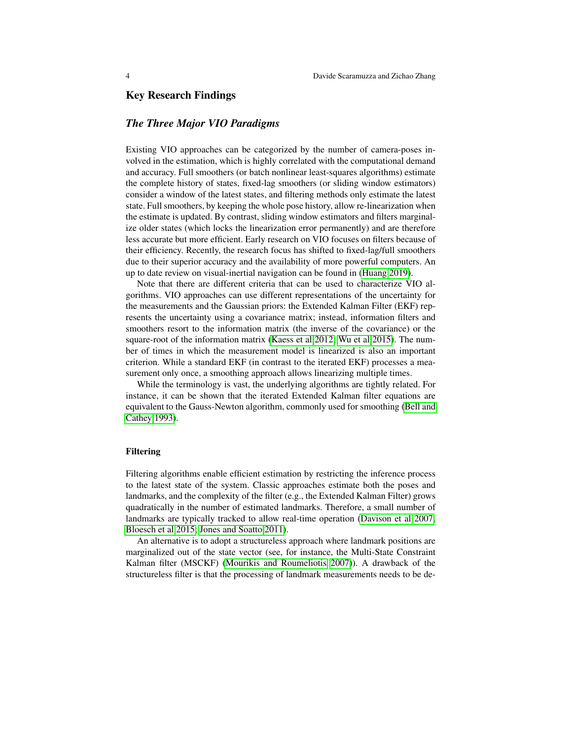# Key Research Findings

# *The Three Major VIO Paradigms*

Existing VIO approaches can be categorized by the number of camera-poses involved in the estimation, which is highly correlated with the computational demand and accuracy. Full smoothers (or batch nonlinear least-squares algorithms) estimate the complete history of states, fixed-lag smoothers (or sliding window estimators) consider a window of the latest states, and filtering methods only estimate the latest state. Full smoothers, by keeping the whole pose history, allow re-linearization when the estimate is updated. By contrast, sliding window estimators and filters marginalize older states (which locks the linearization error permanently) and are therefore less accurate but more efficient. Early research on VIO focuses on filters because of their efficiency. Recently, the research focus has shifted to fixed-lag/full smoothers due to their superior accuracy and the availability of more powerful computers. An up to date review on visual-inertial navigation can be found in [\(Huang 2019\)](#page-10-1).

Note that there are different criteria that can be used to characterize VIO algorithms. VIO approaches can use different representations of the uncertainty for the measurements and the Gaussian priors: the Extended Kalman Filter (EKF) represents the uncertainty using a covariance matrix; instead, information filters and smoothers resort to the information matrix (the inverse of the covariance) or the square-root of the information matrix [\(Kaess et al 2012;](#page-10-2) [Wu et al 2015\)](#page-11-2). The number of times in which the measurement model is linearized is also an important criterion. While a standard EKF (in contrast to the iterated EKF) processes a measurement only once, a smoothing approach allows linearizing multiple times.

While the terminology is vast, the underlying algorithms are tightly related. For instance, it can be shown that the iterated Extended Kalman filter equations are equivalent to the Gauss-Newton algorithm, commonly used for smoothing [\(Bell and](#page-9-2) [Cathey 1993\)](#page-9-2).

#### Filtering

Filtering algorithms enable efficient estimation by restricting the inference process to the latest state of the system. Classic approaches estimate both the poses and landmarks, and the complexity of the filter (e.g., the Extended Kalman Filter) grows quadratically in the number of estimated landmarks. Therefore, a small number of landmarks are typically tracked to allow real-time operation [\(Davison et al 2007;](#page-9-3) [Bloesch et al 2015;](#page-9-4) [Jones and Soatto 2011\)](#page-10-3).

An alternative is to adopt a structureless approach where landmark positions are marginalized out of the state vector (see, for instance, the Multi-State Constraint Kalman filter (MSCKF) [\(Mourikis and Roumeliotis 2007\)](#page-10-4)). A drawback of the structureless filter is that the processing of landmark measurements needs to be de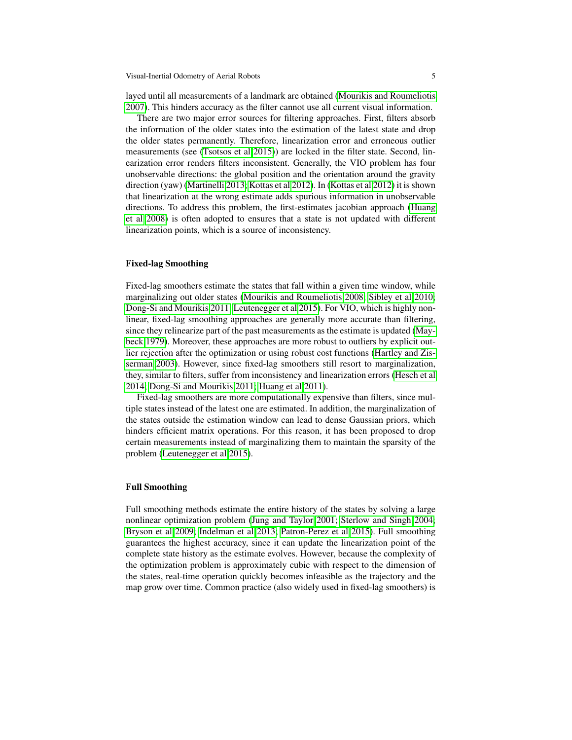Visual-Inertial Odometry of Aerial Robots 5

layed until all measurements of a landmark are obtained [\(Mourikis and Roumeliotis](#page-10-4) [2007\)](#page-10-4). This hinders accuracy as the filter cannot use all current visual information.

There are two major error sources for filtering approaches. First, filters absorb the information of the older states into the estimation of the latest state and drop the older states permanently. Therefore, linearization error and erroneous outlier measurements (see [\(Tsotsos et al 2015\)](#page-11-3)) are locked in the filter state. Second, linearization error renders filters inconsistent. Generally, the VIO problem has four unobservable directions: the global position and the orientation around the gravity direction (yaw) [\(Martinelli 2013;](#page-10-0) [Kottas et al 2012\)](#page-10-5). In [\(Kottas et al 2012\)](#page-10-5) it is shown that linearization at the wrong estimate adds spurious information in unobservable directions. To address this problem, the first-estimates jacobian approach [\(Huang](#page-10-6) [et al 2008\)](#page-10-6) is often adopted to ensures that a state is not updated with different linearization points, which is a source of inconsistency.

#### Fixed-lag Smoothing

Fixed-lag smoothers estimate the states that fall within a given time window, while marginalizing out older states [\(Mourikis and Roumeliotis 2008;](#page-11-4) [Sibley et al 2010;](#page-11-5) [Dong-Si and Mourikis 2011;](#page-9-5) [Leutenegger et al 2015\)](#page-10-7). For VIO, which is highly nonlinear, fixed-lag smoothing approaches are generally more accurate than filtering, since they relinearize part of the past measurements as the estimate is updated [\(May](#page-10-8)[beck 1979\)](#page-10-8). Moreover, these approaches are more robust to outliers by explicit outlier rejection after the optimization or using robust cost functions [\(Hartley and Zis](#page-9-6)[serman 2003\)](#page-9-6). However, since fixed-lag smoothers still resort to marginalization, they, similar to filters, suffer from inconsistency and linearization errors [\(Hesch et al](#page-9-7) [2014;](#page-9-7) [Dong-Si and Mourikis 2011;](#page-9-5) [Huang et al 2011\)](#page-10-9).

Fixed-lag smoothers are more computationally expensive than filters, since multiple states instead of the latest one are estimated. In addition, the marginalization of the states outside the estimation window can lead to dense Gaussian priors, which hinders efficient matrix operations. For this reason, it has been proposed to drop certain measurements instead of marginalizing them to maintain the sparsity of the problem [\(Leutenegger et al 2015\)](#page-10-7).

#### Full Smoothing

Full smoothing methods estimate the entire history of the states by solving a large nonlinear optimization problem [\(Jung and Taylor 2001;](#page-10-10) [Sterlow and Singh 2004;](#page-11-6) [Bryson et al 2009;](#page-9-8) [Indelman et al 2013;](#page-10-11) [Patron-Perez et al 2015\)](#page-11-7). Full smoothing guarantees the highest accuracy, since it can update the linearization point of the complete state history as the estimate evolves. However, because the complexity of the optimization problem is approximately cubic with respect to the dimension of the states, real-time operation quickly becomes infeasible as the trajectory and the map grow over time. Common practice (also widely used in fixed-lag smoothers) is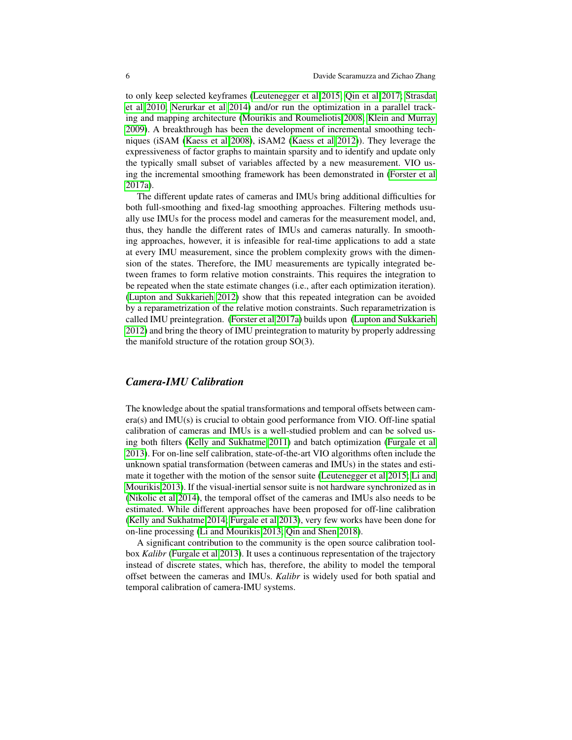to only keep selected keyframes [\(Leutenegger et al 2015;](#page-10-7) [Qin et al 2017;](#page-11-8) [Strasdat](#page-11-9) [et al 2010;](#page-11-9) [Nerurkar et al 2014\)](#page-11-10) and/or run the optimization in a parallel tracking and mapping architecture [\(Mourikis and Roumeliotis 2008;](#page-11-4) [Klein and Murray](#page-10-12) [2009\)](#page-10-12). A breakthrough has been the development of incremental smoothing techniques (iSAM [\(Kaess et al 2008\)](#page-10-13), iSAM2 [\(Kaess et al 2012\)](#page-10-2)). They leverage the expressiveness of factor graphs to maintain sparsity and to identify and update only the typically small subset of variables affected by a new measurement. VIO using the incremental smoothing framework has been demonstrated in [\(Forster et al](#page-9-9) [2017a\)](#page-9-9).

The different update rates of cameras and IMUs bring additional difficulties for both full-smoothing and fixed-lag smoothing approaches. Filtering methods usually use IMUs for the process model and cameras for the measurement model, and, thus, they handle the different rates of IMUs and cameras naturally. In smoothing approaches, however, it is infeasible for real-time applications to add a state at every IMU measurement, since the problem complexity grows with the dimension of the states. Therefore, the IMU measurements are typically integrated between frames to form relative motion constraints. This requires the integration to be repeated when the state estimate changes (i.e., after each optimization iteration). [\(Lupton and Sukkarieh 2012\)](#page-10-14) show that this repeated integration can be avoided by a reparametrization of the relative motion constraints. Such reparametrization is called IMU preintegration. [\(Forster et al 2017a\)](#page-9-9) builds upon [\(Lupton and Sukkarieh](#page-10-14) [2012\)](#page-10-14) and bring the theory of IMU preintegration to maturity by properly addressing the manifold structure of the rotation group SO(3).

## *Camera-IMU Calibration*

The knowledge about the spatial transformations and temporal offsets between camera(s) and IMU(s) is crucial to obtain good performance from VIO. Off-line spatial calibration of cameras and IMUs is a well-studied problem and can be solved using both filters [\(Kelly and Sukhatme 2011\)](#page-10-15) and batch optimization [\(Furgale et al](#page-9-0) [2013\)](#page-9-0). For on-line self calibration, state-of-the-art VIO algorithms often include the unknown spatial transformation (between cameras and IMUs) in the states and estimate it together with the motion of the sensor suite [\(Leutenegger et al 2015;](#page-10-7) [Li and](#page-10-16) [Mourikis 2013\)](#page-10-16). If the visual-inertial sensor suite is not hardware synchronized as in [\(Nikolic et al 2014\)](#page-11-0), the temporal offset of the cameras and IMUs also needs to be estimated. While different approaches have been proposed for off-line calibration [\(Kelly and Sukhatme 2014;](#page-10-17) [Furgale et al 2013\)](#page-9-0), very few works have been done for on-line processing [\(Li and Mourikis 2013;](#page-10-16) [Qin and Shen 2018\)](#page-11-11).

A significant contribution to the community is the open source calibration toolbox *Kalibr* [\(Furgale et al 2013\)](#page-9-0). It uses a continuous representation of the trajectory instead of discrete states, which has, therefore, the ability to model the temporal offset between the cameras and IMUs. *Kalibr* is widely used for both spatial and temporal calibration of camera-IMU systems.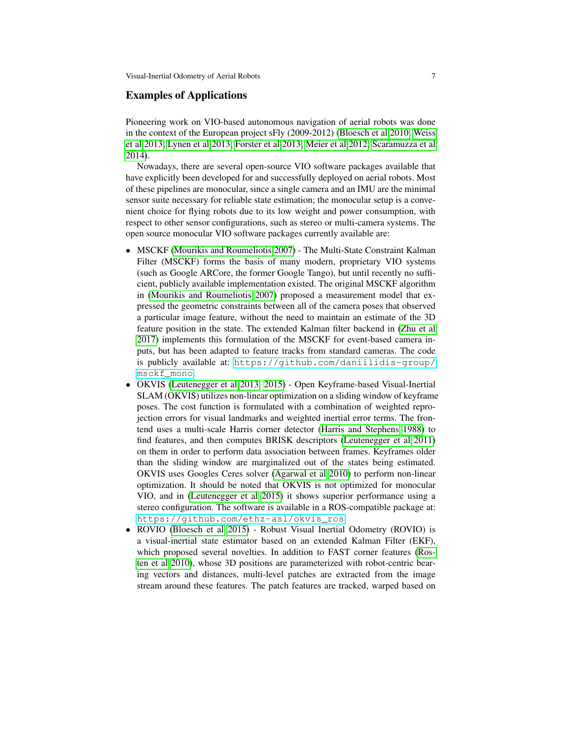### Examples of Applications

Pioneering work on VIO-based autonomous navigation of aerial robots was done in the context of the European project sFly (2009-2012) [\(Bloesch et al 2010;](#page-9-10) [Weiss](#page-11-12) [et al 2013;](#page-11-12) [Lynen et al 2013;](#page-10-18) [Forster et al 2013;](#page-9-11) [Meier et al 2012;](#page-10-19) [Scaramuzza et al](#page-11-13) [2014\)](#page-11-13).

Nowadays, there are several open-source VIO software packages available that have explicitly been developed for and successfully deployed on aerial robots. Most of these pipelines are monocular, since a single camera and an IMU are the minimal sensor suite necessary for reliable state estimation; the monocular setup is a convenient choice for flying robots due to its low weight and power consumption, with respect to other sensor configurations, such as stereo or multi-camera systems. The open source monocular VIO software packages currently available are:

- MSCKF [\(Mourikis and Roumeliotis 2007\)](#page-10-4) The Multi-State Constraint Kalman Filter (MSCKF) forms the basis of many modern, proprietary VIO systems (such as Google ARCore, the former Google Tango), but until recently no sufficient, publicly available implementation existed. The original MSCKF algorithm in [\(Mourikis and Roumeliotis 2007\)](#page-10-4) proposed a measurement model that expressed the geometric constraints between all of the camera poses that observed a particular image feature, without the need to maintain an estimate of the 3D feature position in the state. The extended Kalman filter backend in [\(Zhu et al](#page-12-0) [2017\)](#page-12-0) implements this formulation of the MSCKF for event-based camera inputs, but has been adapted to feature tracks from standard cameras. The code is publicly available at: [https://github.com/daniilidis-group/](https://github.com/daniilidis-group/msckf_mono) [msckf\\_mono](https://github.com/daniilidis-group/msckf_mono).
- OKVIS [\(Leutenegger et al 2013,](#page-10-20) [2015\)](#page-10-7) Open Keyframe-based Visual-Inertial SLAM (OKVIS) utilizes non-linear optimization on a sliding window of keyframe poses. The cost function is formulated with a combination of weighted reprojection errors for visual landmarks and weighted inertial error terms. The frontend uses a multi-scale Harris corner detector [\(Harris and Stephens 1988\)](#page-9-12) to find features, and then computes BRISK descriptors [\(Leutenegger et al 2011\)](#page-10-21) on them in order to perform data association between frames. Keyframes older than the sliding window are marginalized out of the states being estimated. OKVIS uses Googles Ceres solver [\(Agarwal et al 2010\)](#page-9-13) to perform non-linear optimization. It should be noted that OKVIS is not optimized for monocular VIO, and in [\(Leutenegger et al 2015\)](#page-10-7) it shows superior performance using a stereo configuration. The software is available in a ROS-compatible package at: [https://github.com/ethz-asl/okvis\\_ros](https://github.com/ethz-asl/okvis_ros).
- ROVIO [\(Bloesch et al 2015\)](#page-9-4) Robust Visual Inertial Odometry (ROVIO) is a visual-inertial state estimator based on an extended Kalman Filter (EKF), which proposed several novelties. In addition to FAST corner features [\(Ros](#page-11-14)[ten et al 2010\)](#page-11-14), whose 3D positions are parameterized with robot-centric bearing vectors and distances, multi-level patches are extracted from the image stream around these features. The patch features are tracked, warped based on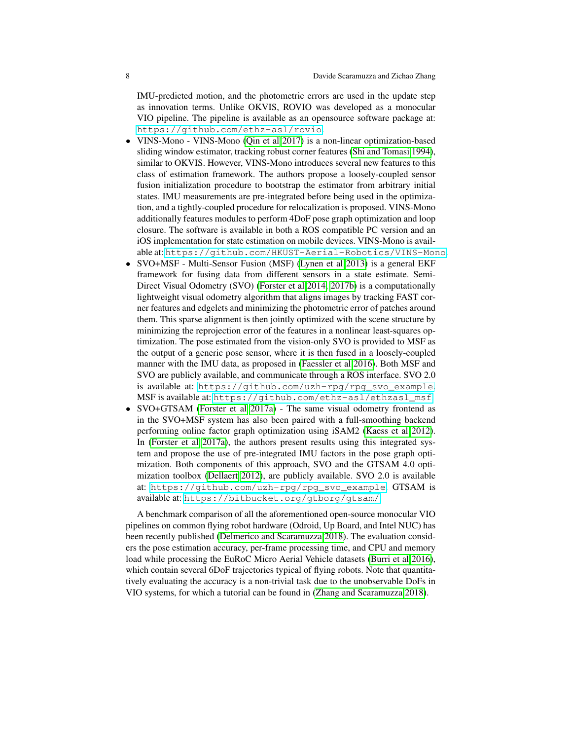IMU-predicted motion, and the photometric errors are used in the update step as innovation terms. Unlike OKVIS, ROVIO was developed as a monocular VIO pipeline. The pipeline is available as an opensource software package at: <https://github.com/ethz-asl/rovio>.

- VINS-Mono VINS-Mono [\(Qin et al 2017\)](#page-11-8) is a non-linear optimization-based sliding window estimator, tracking robust corner features [\(Shi and Tomasi 1994\)](#page-11-15), similar to OKVIS. However, VINS-Mono introduces several new features to this class of estimation framework. The authors propose a loosely-coupled sensor fusion initialization procedure to bootstrap the estimator from arbitrary initial states. IMU measurements are pre-integrated before being used in the optimization, and a tightly-coupled procedure for relocalization is proposed. VINS-Mono additionally features modules to perform 4DoF pose graph optimization and loop closure. The software is available in both a ROS compatible PC version and an iOS implementation for state estimation on mobile devices. VINS-Mono is available at: <https://github.com/HKUST-Aerial-Robotics/VINS-Mono>.
- SVO+MSF Multi-Sensor Fusion (MSF) [\(Lynen et al 2013\)](#page-10-18) is a general EKF framework for fusing data from different sensors in a state estimate. Semi-Direct Visual Odometry (SVO) [\(Forster et al 2014,](#page-9-14) [2017b\)](#page-9-15) is a computationally lightweight visual odometry algorithm that aligns images by tracking FAST corner features and edgelets and minimizing the photometric error of patches around them. This sparse alignment is then jointly optimized with the scene structure by minimizing the reprojection error of the features in a nonlinear least-squares optimization. The pose estimated from the vision-only SVO is provided to MSF as the output of a generic pose sensor, where it is then fused in a loosely-coupled manner with the IMU data, as proposed in [\(Faessler et al 2016\)](#page-9-16). Both MSF and SVO are publicly available, and communicate through a ROS interface. SVO 2.0 is available at: [https://github.com/uzh-rpg/rpg\\_svo\\_example](https://github.com/uzh-rpg/rpg_svo_example). MSF is available at: [https://github.com/ethz-asl/ethzasl\\_msf](https://github.com/ethz-asl/ethzasl_msf).
- SVO+GTSAM [\(Forster et al 2017a\)](#page-9-9) The same visual odometry frontend as in the SVO+MSF system has also been paired with a full-smoothing backend performing online factor graph optimization using iSAM2 [\(Kaess et al 2012\)](#page-10-2). In [\(Forster et al 2017a\)](#page-9-9), the authors present results using this integrated system and propose the use of pre-integrated IMU factors in the pose graph optimization. Both components of this approach, SVO and the GTSAM 4.0 optimization toolbox [\(Dellaert 2012\)](#page-9-17), are publicly available. SVO 2.0 is available at: [https://github.com/uzh-rpg/rpg\\_svo\\_example](https://github.com/uzh-rpg/rpg_svo_example). GTSAM is available at: <https://bitbucket.org/gtborg/gtsam/>.

A benchmark comparison of all the aforementioned open-source monocular VIO pipelines on common flying robot hardware (Odroid, Up Board, and Intel NUC) has been recently published [\(Delmerico and Scaramuzza 2018\)](#page-9-18). The evaluation considers the pose estimation accuracy, per-frame processing time, and CPU and memory load while processing the EuRoC Micro Aerial Vehicle datasets [\(Burri et al 2016\)](#page-9-19), which contain several 6DoF trajectories typical of flying robots. Note that quantitatively evaluating the accuracy is a non-trivial task due to the unobservable DoFs in VIO systems, for which a tutorial can be found in [\(Zhang and Scaramuzza 2018\)](#page-12-1).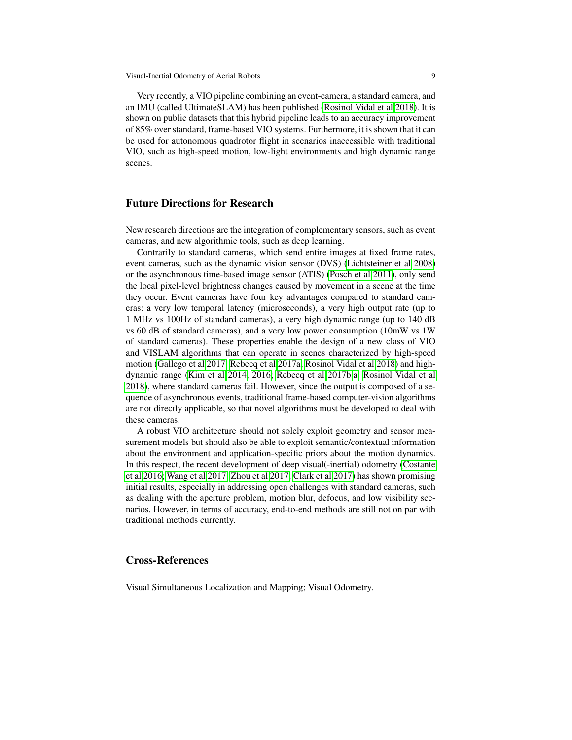Very recently, a VIO pipeline combining an event-camera, a standard camera, and an IMU (called UltimateSLAM) has been published [\(Rosinol Vidal et al 2018\)](#page-11-16). It is shown on public datasets that this hybrid pipeline leads to an accuracy improvement of 85% over standard, frame-based VIO systems. Furthermore, it is shown that it can be used for autonomous quadrotor flight in scenarios inaccessible with traditional VIO, such as high-speed motion, low-light environments and high dynamic range scenes.

# Future Directions for Research

New research directions are the integration of complementary sensors, such as event cameras, and new algorithmic tools, such as deep learning.

Contrarily to standard cameras, which send entire images at fixed frame rates, event cameras, such as the dynamic vision sensor (DVS) [\(Lichtsteiner et al 2008\)](#page-10-22) or the asynchronous time-based image sensor (ATIS) [\(Posch et al 2011\)](#page-11-17), only send the local pixel-level brightness changes caused by movement in a scene at the time they occur. Event cameras have four key advantages compared to standard cameras: a very low temporal latency (microseconds), a very high output rate (up to 1 MHz vs 100Hz of standard cameras), a very high dynamic range (up to 140 dB vs 60 dB of standard cameras), and a very low power consumption (10mW vs 1W of standard cameras). These properties enable the design of a new class of VIO and VISLAM algorithms that can operate in scenes characterized by high-speed motion [\(Gallego et al 2017;](#page-9-20) [Rebecq et al 2017a;](#page-11-18) [Rosinol Vidal et al 2018\)](#page-11-16) and highdynamic range [\(Kim et al 2014,](#page-10-23) [2016;](#page-10-24) [Rebecq et al 2017b](#page-11-19)[,a;](#page-11-18) [Rosinol Vidal et al](#page-11-16) [2018\)](#page-11-16), where standard cameras fail. However, since the output is composed of a sequence of asynchronous events, traditional frame-based computer-vision algorithms are not directly applicable, so that novel algorithms must be developed to deal with these cameras.

A robust VIO architecture should not solely exploit geometry and sensor measurement models but should also be able to exploit semantic/contextual information about the environment and application-specific priors about the motion dynamics. In this respect, the recent development of deep visual(-inertial) odometry [\(Costante](#page-9-21) [et al 2016;](#page-9-21) [Wang et al 2017;](#page-11-20) [Zhou et al 2017;](#page-12-2) [Clark et al 2017\)](#page-9-22) has shown promising initial results, especially in addressing open challenges with standard cameras, such as dealing with the aperture problem, motion blur, defocus, and low visibility scenarios. However, in terms of accuracy, end-to-end methods are still not on par with traditional methods currently.

## Cross-References

Visual Simultaneous Localization and Mapping; Visual Odometry.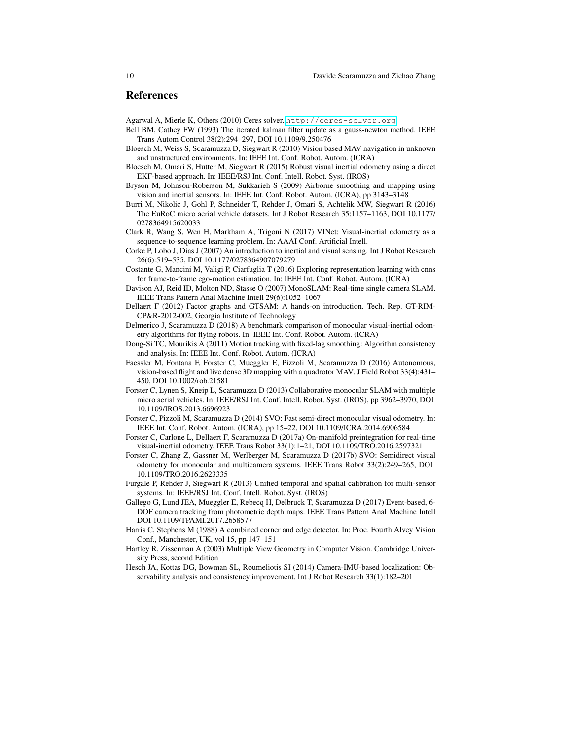#### References

<span id="page-9-13"></span>Agarwal A, Mierle K, Others (2010) Ceres solver. <http://ceres-solver.org>

- <span id="page-9-2"></span>Bell BM, Cathey FW (1993) The iterated kalman filter update as a gauss-newton method. IEEE Trans Autom Control 38(2):294–297, DOI 10.1109/9.250476
- <span id="page-9-10"></span>Bloesch M, Weiss S, Scaramuzza D, Siegwart R (2010) Vision based MAV navigation in unknown and unstructured environments. In: IEEE Int. Conf. Robot. Autom. (ICRA)
- <span id="page-9-4"></span>Bloesch M, Omari S, Hutter M, Siegwart R (2015) Robust visual inertial odometry using a direct EKF-based approach. In: IEEE/RSJ Int. Conf. Intell. Robot. Syst. (IROS)
- <span id="page-9-8"></span>Bryson M, Johnson-Roberson M, Sukkarieh S (2009) Airborne smoothing and mapping using vision and inertial sensors. In: IEEE Int. Conf. Robot. Autom. (ICRA), pp 3143–3148
- <span id="page-9-19"></span>Burri M, Nikolic J, Gohl P, Schneider T, Rehder J, Omari S, Achtelik MW, Siegwart R (2016) The EuRoC micro aerial vehicle datasets. Int J Robot Research 35:1157–1163, DOI 10.1177/ 0278364915620033
- <span id="page-9-22"></span>Clark R, Wang S, Wen H, Markham A, Trigoni N (2017) VINet: Visual-inertial odometry as a sequence-to-sequence learning problem. In: AAAI Conf. Artificial Intell.
- <span id="page-9-1"></span>Corke P, Lobo J, Dias J (2007) An introduction to inertial and visual sensing. Int J Robot Research 26(6):519–535, DOI 10.1177/0278364907079279
- <span id="page-9-21"></span>Costante G, Mancini M, Valigi P, Ciarfuglia T (2016) Exploring representation learning with cnns for frame-to-frame ego-motion estimation. In: IEEE Int. Conf. Robot. Autom. (ICRA)
- <span id="page-9-3"></span>Davison AJ, Reid ID, Molton ND, Stasse O (2007) MonoSLAM: Real-time single camera SLAM. IEEE Trans Pattern Anal Machine Intell 29(6):1052–1067
- <span id="page-9-17"></span>Dellaert F (2012) Factor graphs and GTSAM: A hands-on introduction. Tech. Rep. GT-RIM-CP&R-2012-002, Georgia Institute of Technology
- <span id="page-9-18"></span>Delmerico J, Scaramuzza D (2018) A benchmark comparison of monocular visual-inertial odometry algorithms for flying robots. In: IEEE Int. Conf. Robot. Autom. (ICRA)
- <span id="page-9-5"></span>Dong-Si TC, Mourikis A (2011) Motion tracking with fixed-lag smoothing: Algorithm consistency and analysis. In: IEEE Int. Conf. Robot. Autom. (ICRA)
- <span id="page-9-16"></span>Faessler M, Fontana F, Forster C, Mueggler E, Pizzoli M, Scaramuzza D (2016) Autonomous, vision-based flight and live dense 3D mapping with a quadrotor MAV. J Field Robot 33(4):431– 450, DOI 10.1002/rob.21581
- <span id="page-9-11"></span>Forster C, Lynen S, Kneip L, Scaramuzza D (2013) Collaborative monocular SLAM with multiple micro aerial vehicles. In: IEEE/RSJ Int. Conf. Intell. Robot. Syst. (IROS), pp 3962–3970, DOI 10.1109/IROS.2013.6696923
- <span id="page-9-14"></span>Forster C, Pizzoli M, Scaramuzza D (2014) SVO: Fast semi-direct monocular visual odometry. In: IEEE Int. Conf. Robot. Autom. (ICRA), pp 15–22, DOI 10.1109/ICRA.2014.6906584
- <span id="page-9-9"></span>Forster C, Carlone L, Dellaert F, Scaramuzza D (2017a) On-manifold preintegration for real-time visual-inertial odometry. IEEE Trans Robot 33(1):1–21, DOI 10.1109/TRO.2016.2597321
- <span id="page-9-15"></span>Forster C, Zhang Z, Gassner M, Werlberger M, Scaramuzza D (2017b) SVO: Semidirect visual odometry for monocular and multicamera systems. IEEE Trans Robot 33(2):249–265, DOI 10.1109/TRO.2016.2623335
- <span id="page-9-0"></span>Furgale P, Rehder J, Siegwart R (2013) Unified temporal and spatial calibration for multi-sensor systems. In: IEEE/RSJ Int. Conf. Intell. Robot. Syst. (IROS)
- <span id="page-9-20"></span>Gallego G, Lund JEA, Mueggler E, Rebecq H, Delbruck T, Scaramuzza D (2017) Event-based, 6- DOF camera tracking from photometric depth maps. IEEE Trans Pattern Anal Machine Intell DOI 10.1109/TPAMI.2017.2658577
- <span id="page-9-12"></span>Harris C, Stephens M (1988) A combined corner and edge detector. In: Proc. Fourth Alvey Vision Conf., Manchester, UK, vol 15, pp 147–151
- <span id="page-9-6"></span>Hartley R, Zisserman A (2003) Multiple View Geometry in Computer Vision. Cambridge University Press, second Edition
- <span id="page-9-7"></span>Hesch JA, Kottas DG, Bowman SL, Roumeliotis SI (2014) Camera-IMU-based localization: Observability analysis and consistency improvement. Int J Robot Research 33(1):182–201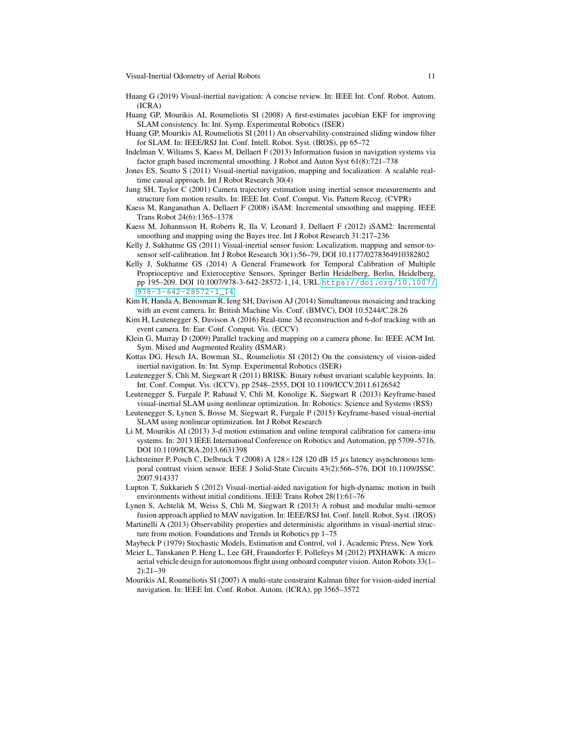- <span id="page-10-1"></span>Huang G (2019) Visual-inertial navigation: A concise review. In: IEEE Int. Conf. Robot. Autom. (ICRA)
- <span id="page-10-6"></span>Huang GP, Mourikis AI, Roumeliotis SI (2008) A first-estimates jacobian EKF for improving SLAM consistency. In: Int. Symp. Experimental Robotics (ISER)
- <span id="page-10-9"></span>Huang GP, Mourikis AI, Roumeliotis SI (2011) An observability-constrained sliding window filter for SLAM. In: IEEE/RSJ Int. Conf. Intell. Robot. Syst. (IROS), pp 65–72
- <span id="page-10-11"></span>Indelman V, Wiliams S, Kaess M, Dellaert F (2013) Information fusion in navigation systems via factor graph based incremental smoothing. J Robot and Auton Syst 61(8):721–738
- <span id="page-10-3"></span>Jones ES, Soatto S (2011) Visual-inertial navigation, mapping and localization: A scalable realtime causal approach. Int J Robot Research 30(4)
- <span id="page-10-10"></span>Jung SH, Taylor C (2001) Camera trajectory estimation using inertial sensor measurements and structure fom motion results. In: IEEE Int. Conf. Comput. Vis. Pattern Recog. (CVPR)
- <span id="page-10-13"></span>Kaess M, Ranganathan A, Dellaert F (2008) iSAM: Incremental smoothing and mapping. IEEE Trans Robot 24(6):1365–1378
- <span id="page-10-2"></span>Kaess M, Johannsson H, Roberts R, Ila V, Leonard J, Dellaert F (2012) iSAM2: Incremental smoothing and mapping using the Bayes tree. Int J Robot Research 31:217–236
- <span id="page-10-15"></span>Kelly J, Sukhatme GS (2011) Visual-inertial sensor fusion: Localization, mapping and sensor-tosensor self-calibration. Int J Robot Research 30(1):56–79, DOI 10.1177/0278364910382802
- <span id="page-10-17"></span>Kelly J, Sukhatme GS (2014) A General Framework for Temporal Calibration of Multiple Proprioceptive and Exteroceptive Sensors, Springer Berlin Heidelberg, Berlin, Heidelberg, pp 195–209. DOI 10.1007/978-3-642-28572-1 14, URL [https://doi.org/10.1007/](https://doi.org/10.1007/978-3-642-28572-1_14) [978-3-642-28572-1\\_14](https://doi.org/10.1007/978-3-642-28572-1_14)
- <span id="page-10-23"></span>Kim H, Handa A, Benosman R, Ieng SH, Davison AJ (2014) Simultaneous mosaicing and tracking with an event camera. In: British Machine Vis. Conf. (BMVC), DOI 10.5244/C.28.26
- <span id="page-10-24"></span>Kim H, Leutenegger S, Davison A (2016) Real-time 3d reconstruction and 6-dof tracking with an event camera. In: Eur. Conf. Comput. Vis. (ECCV)
- <span id="page-10-12"></span>Klein G, Murray D (2009) Parallel tracking and mapping on a camera phone. In: IEEE ACM Int. Sym. Mixed and Augmented Reality (ISMAR)
- <span id="page-10-5"></span>Kottas DG, Hesch JA, Bowman SL, Roumeliotis SI (2012) On the consistency of vision-aided inertial navigation. In: Int. Symp. Experimental Robotics (ISER)
- <span id="page-10-21"></span>Leutenegger S, Chli M, Siegwart R (2011) BRISK: Binary robust invariant scalable keypoints. In: Int. Conf. Comput. Vis. (ICCV), pp 2548–2555, DOI 10.1109/ICCV.2011.6126542
- <span id="page-10-20"></span>Leutenegger S, Furgale P, Rabaud V, Chli M, Konolige K, Siegwart R (2013) Keyframe-based visual-inertial SLAM using nonlinear optimization. In: Robotics: Science and Systems (RSS)
- <span id="page-10-7"></span>Leutenegger S, Lynen S, Bosse M, Siegwart R, Furgale P (2015) Keyframe-based visual-inertial SLAM using nonlinear optimization. Int J Robot Research
- <span id="page-10-16"></span>Li M, Mourikis AI (2013) 3-d motion estimation and online temporal calibration for camera-imu systems. In: 2013 IEEE International Conference on Robotics and Automation, pp 5709–5716, DOI 10.1109/ICRA.2013.6631398
- <span id="page-10-22"></span>Lichtsteiner P, Posch C, Delbruck T (2008) A  $128 \times 128$  120 dB 15  $\mu$ s latency asynchronous temporal contrast vision sensor. IEEE J Solid-State Circuits 43(2):566–576, DOI 10.1109/JSSC. 2007.914337
- <span id="page-10-14"></span>Lupton T, Sukkarieh S (2012) Visual-inertial-aided navigation for high-dynamic motion in built environments without initial conditions. IEEE Trans Robot 28(1):61–76
- <span id="page-10-18"></span>Lynen S, Achtelik M, Weiss S, Chli M, Siegwart R (2013) A robust and modular multi-sensor fusion approach applied to MAV navigation. In: IEEE/RSJ Int. Conf. Intell. Robot. Syst. (IROS)
- <span id="page-10-0"></span>Martinelli A (2013) Observability properties and deterministic algorithms in visual-inertial structure from motion. Foundations and Trends in Robotics pp 1–75
- <span id="page-10-8"></span>Maybeck P (1979) Stochastic Models, Estimation and Control, vol 1. Academic Press, New York
- <span id="page-10-19"></span>Meier L, Tanskanen P, Heng L, Lee GH, Fraundorfer F, Pollefeys M (2012) PIXHAWK: A micro aerial vehicle design for autonomous flight using onboard computer vision. Auton Robots 33(1– 2):21–39
- <span id="page-10-4"></span>Mourikis AI, Roumeliotis SI (2007) A multi-state constraint Kalman filter for vision-aided inertial navigation. In: IEEE Int. Conf. Robot. Autom. (ICRA), pp 3565–3572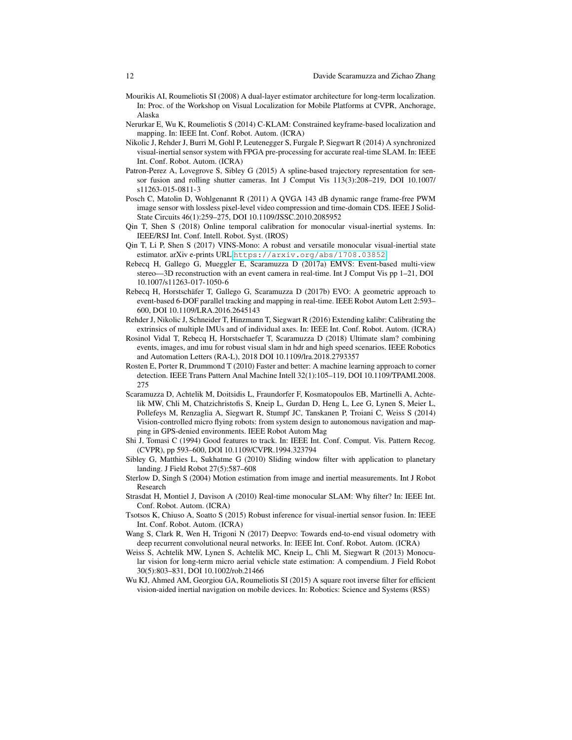- <span id="page-11-4"></span>Mourikis AI, Roumeliotis SI (2008) A dual-layer estimator architecture for long-term localization. In: Proc. of the Workshop on Visual Localization for Mobile Platforms at CVPR, Anchorage, Alaska
- <span id="page-11-10"></span>Nerurkar E, Wu K, Roumeliotis S (2014) C-KLAM: Constrained keyframe-based localization and mapping. In: IEEE Int. Conf. Robot. Autom. (ICRA)
- <span id="page-11-0"></span>Nikolic J, Rehder J, Burri M, Gohl P, Leutenegger S, Furgale P, Siegwart R (2014) A synchronized visual-inertial sensor system with FPGA pre-processing for accurate real-time SLAM. In: IEEE Int. Conf. Robot. Autom. (ICRA)
- <span id="page-11-7"></span>Patron-Perez A, Lovegrove S, Sibley G (2015) A spline-based trajectory representation for sensor fusion and rolling shutter cameras. Int J Comput Vis 113(3):208–219, DOI 10.1007/ s11263-015-0811-3
- <span id="page-11-17"></span>Posch C, Matolin D, Wohlgenannt R (2011) A QVGA 143 dB dynamic range frame-free PWM image sensor with lossless pixel-level video compression and time-domain CDS. IEEE J Solid-State Circuits 46(1):259–275, DOI 10.1109/JSSC.2010.2085952
- <span id="page-11-11"></span>Qin T, Shen S (2018) Online temporal calibration for monocular visual-inertial systems. In: IEEE/RSJ Int. Conf. Intell. Robot. Syst. (IROS)
- <span id="page-11-8"></span>Qin T, Li P, Shen S (2017) VINS-Mono: A robust and versatile monocular visual-inertial state estimator. arXiv e-prints URL <https://arxiv.org/abs/1708.03852>
- <span id="page-11-18"></span>Rebecq H, Gallego G, Mueggler E, Scaramuzza D (2017a) EMVS: Event-based multi-view stereo—3D reconstruction with an event camera in real-time. Int J Comput Vis pp 1–21, DOI 10.1007/s11263-017-1050-6
- <span id="page-11-19"></span>Rebecq H, Horstschäfer T, Gallego G, Scaramuzza D (2017b) EVO: A geometric approach to event-based 6-DOF parallel tracking and mapping in real-time. IEEE Robot Autom Lett 2:593– 600, DOI 10.1109/LRA.2016.2645143
- <span id="page-11-1"></span>Rehder J, Nikolic J, Schneider T, Hinzmann T, Siegwart R (2016) Extending kalibr: Calibrating the extrinsics of multiple IMUs and of individual axes. In: IEEE Int. Conf. Robot. Autom. (ICRA)
- <span id="page-11-16"></span>Rosinol Vidal T, Rebecq H, Horstschaefer T, Scaramuzza D (2018) Ultimate slam? combining events, images, and imu for robust visual slam in hdr and high speed scenarios. IEEE Robotics and Automation Letters (RA-L), 2018 DOI 10.1109/lra.2018.2793357
- <span id="page-11-14"></span>Rosten E, Porter R, Drummond T (2010) Faster and better: A machine learning approach to corner detection. IEEE Trans Pattern Anal Machine Intell 32(1):105–119, DOI 10.1109/TPAMI.2008. 275
- <span id="page-11-13"></span>Scaramuzza D, Achtelik M, Doitsidis L, Fraundorfer F, Kosmatopoulos EB, Martinelli A, Achtelik MW, Chli M, Chatzichristofis S, Kneip L, Gurdan D, Heng L, Lee G, Lynen S, Meier L, Pollefeys M, Renzaglia A, Siegwart R, Stumpf JC, Tanskanen P, Troiani C, Weiss S (2014) Vision-controlled micro flying robots: from system design to autonomous navigation and mapping in GPS-denied environments. IEEE Robot Autom Mag
- <span id="page-11-15"></span>Shi J, Tomasi C (1994) Good features to track. In: IEEE Int. Conf. Comput. Vis. Pattern Recog. (CVPR), pp 593–600, DOI 10.1109/CVPR.1994.323794
- <span id="page-11-5"></span>Sibley G, Matthies L, Sukhatme G (2010) Sliding window filter with application to planetary landing. J Field Robot 27(5):587–608
- <span id="page-11-6"></span>Sterlow D, Singh S (2004) Motion estimation from image and inertial measurements. Int J Robot Research
- <span id="page-11-9"></span>Strasdat H, Montiel J, Davison A (2010) Real-time monocular SLAM: Why filter? In: IEEE Int. Conf. Robot. Autom. (ICRA)
- <span id="page-11-3"></span>Tsotsos K, Chiuso A, Soatto S (2015) Robust inference for visual-inertial sensor fusion. In: IEEE Int. Conf. Robot. Autom. (ICRA)
- <span id="page-11-20"></span>Wang S, Clark R, Wen H, Trigoni N (2017) Deepvo: Towards end-to-end visual odometry with deep recurrent convolutional neural networks. In: IEEE Int. Conf. Robot. Autom. (ICRA)
- <span id="page-11-12"></span>Weiss S, Achtelik MW, Lynen S, Achtelik MC, Kneip L, Chli M, Siegwart R (2013) Monocular vision for long-term micro aerial vehicle state estimation: A compendium. J Field Robot 30(5):803–831, DOI 10.1002/rob.21466
- <span id="page-11-2"></span>Wu KJ, Ahmed AM, Georgiou GA, Roumeliotis SI (2015) A square root inverse filter for efficient vision-aided inertial navigation on mobile devices. In: Robotics: Science and Systems (RSS)